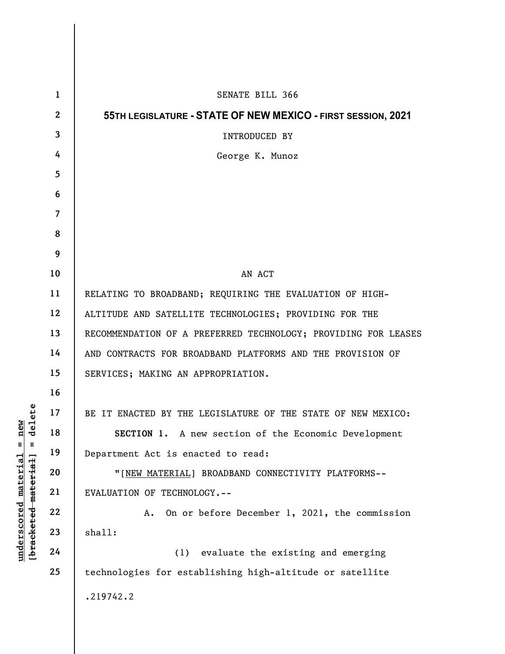|                                                                                                                    | $\mathbf{1}$   | SENATE BILL 366                                                |
|--------------------------------------------------------------------------------------------------------------------|----------------|----------------------------------------------------------------|
| delete<br>$n$ ew<br>$\mathsf{I}$<br>$\mathbf{II}$<br><u>material</u><br>[bracketed material]<br><u>underscored</u> | $\mathbf{2}$   | 55TH LEGISLATURE - STATE OF NEW MEXICO - FIRST SESSION, 2021   |
|                                                                                                                    | 3              | INTRODUCED BY                                                  |
|                                                                                                                    | 4              | George K. Munoz                                                |
|                                                                                                                    | 5              |                                                                |
|                                                                                                                    | 6              |                                                                |
|                                                                                                                    | $\overline{7}$ |                                                                |
|                                                                                                                    | 8              |                                                                |
|                                                                                                                    | 9              |                                                                |
|                                                                                                                    | 10             | AN ACT                                                         |
|                                                                                                                    | 11             | RELATING TO BROADBAND; REQUIRING THE EVALUATION OF HIGH-       |
|                                                                                                                    | 12             | ALTITUDE AND SATELLITE TECHNOLOGIES; PROVIDING FOR THE         |
|                                                                                                                    | 13             | RECOMMENDATION OF A PREFERRED TECHNOLOGY; PROVIDING FOR LEASES |
|                                                                                                                    | 14             | AND CONTRACTS FOR BROADBAND PLATFORMS AND THE PROVISION OF     |
|                                                                                                                    | 15             | SERVICES; MAKING AN APPROPRIATION.                             |
|                                                                                                                    | 16             |                                                                |
|                                                                                                                    | 17             | BE IT ENACTED BY THE LEGISLATURE OF THE STATE OF NEW MEXICO:   |
|                                                                                                                    | 18             | <b>SECTION 1.</b> A new section of the Economic Development    |
|                                                                                                                    | 19             | Department Act is enacted to read:                             |
|                                                                                                                    | 20             | "[NEW MATERIAL] BROADBAND CONNECTIVITY PLATFORMS--             |
|                                                                                                                    | 21             | EVALUATION OF TECHNOLOGY.--                                    |
|                                                                                                                    | 22             | On or before December 1, 2021, the commission<br>A.            |
|                                                                                                                    | 23             | shall:                                                         |
|                                                                                                                    | 24             | evaluate the existing and emerging<br>(1)                      |
|                                                                                                                    | 25             | technologies for establishing high-altitude or satellite       |
|                                                                                                                    |                | .219742.2                                                      |
|                                                                                                                    |                |                                                                |
|                                                                                                                    |                |                                                                |

 $\overline{\phantom{a}}$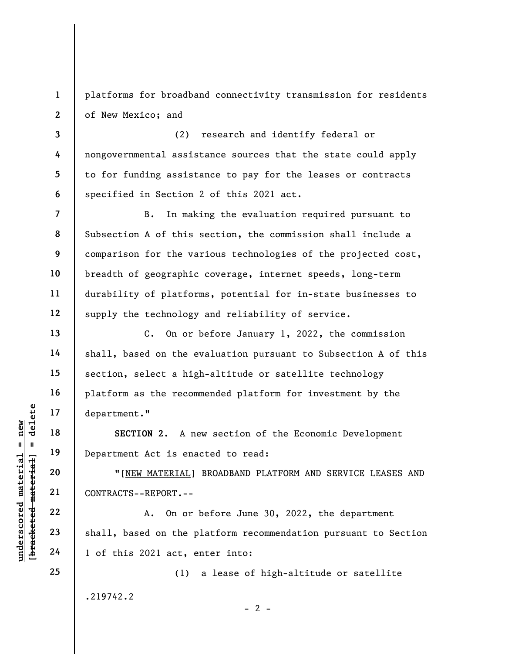platforms for broadband connectivity transmission for residents of New Mexico; and

(2) research and identify federal or nongovernmental assistance sources that the state could apply to for funding assistance to pay for the leases or contracts specified in Section 2 of this 2021 act.

7 8 9 10 11 12 B. In making the evaluation required pursuant to Subsection A of this section, the commission shall include a comparison for the various technologies of the projected cost, breadth of geographic coverage, internet speeds, long-term durability of platforms, potential for in-state businesses to supply the technology and reliability of service.

C. On or before January 1, 2022, the commission shall, based on the evaluation pursuant to Subsection A of this section, select a high-altitude or satellite technology platform as the recommended platform for investment by the department."

SECTION 2. A new section of the Economic Development Department Act is enacted to read:

"[NEW MATERIAL] BROADBAND PLATFORM AND SERVICE LEASES AND CONTRACTS--REPORT.--

underscored material = new [bracketed material] = delete A. On or before June 30, 2022, the department shall, based on the platform recommendation pursuant to Section 1 of this 2021 act, enter into:

(1) a lease of high-altitude or satellite

 $- 2 -$ 

.219742.2

1

2

3

4

5

6

13

14

15

16

17

18

19

20

21

22

23

24

25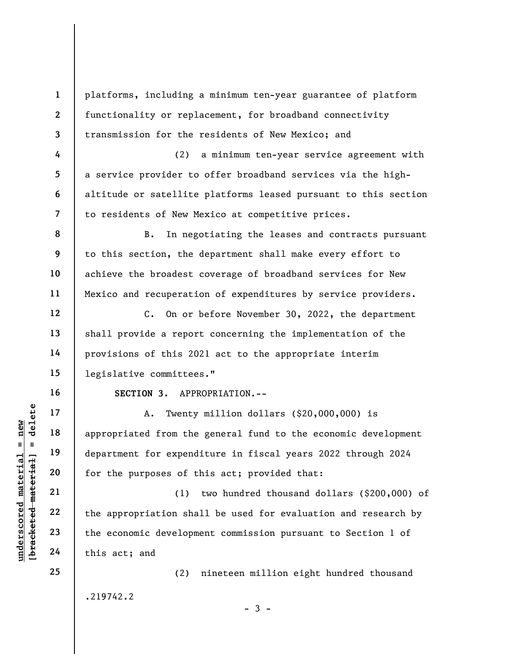understand<br>
understand material appropriated from the<br>
department for expend<br>
department for expend<br>
for the purposes of t<br>
21<br>
22<br>
the appropriation sha<br>
the economic developm<br>
24<br>
this act; and 1 2 3 4 5 6 7 8 9 10 11 12 13 14 15 16 17 18 19 20 21 22 23 24 25 platforms, including a minimum ten-year guarantee of platform functionality or replacement, for broadband connectivity transmission for the residents of New Mexico; and (2) a minimum ten-year service agreement with a service provider to offer broadband services via the highaltitude or satellite platforms leased pursuant to this section to residents of New Mexico at competitive prices. B. In negotiating the leases and contracts pursuant to this section, the department shall make every effort to achieve the broadest coverage of broadband services for New Mexico and recuperation of expenditures by service providers. C. On or before November 30, 2022, the department shall provide a report concerning the implementation of the provisions of this 2021 act to the appropriate interim legislative committees." SECTION 3. APPROPRIATION.-- A. Twenty million dollars (\$20,000,000) is appropriated from the general fund to the economic development department for expenditure in fiscal years 2022 through 2024 for the purposes of this act; provided that: (1) two hundred thousand dollars (\$200,000) of the appropriation shall be used for evaluation and research by the economic development commission pursuant to Section 1 of this act; and (2) nineteen million eight hundred thousand

.219742.2

 $-3 -$